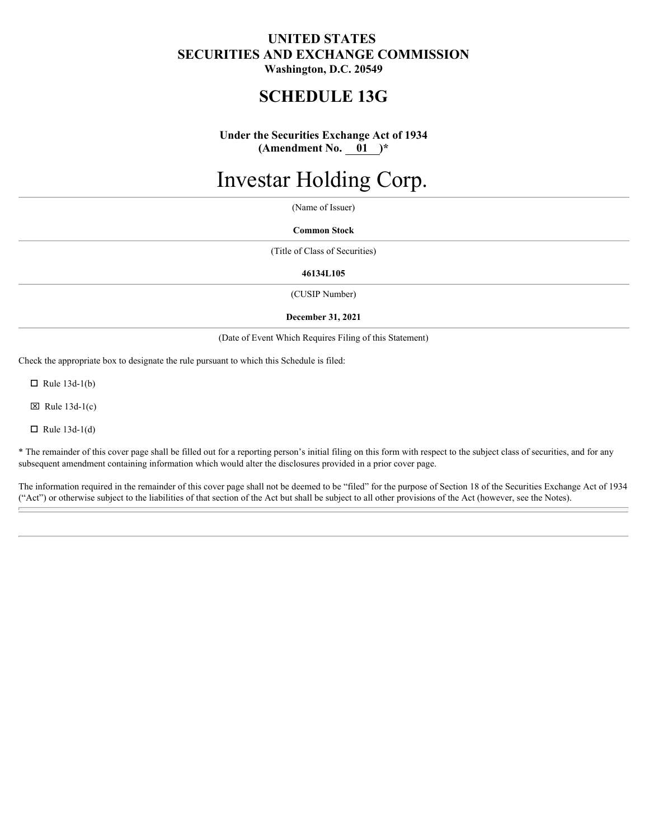### **UNITED STATES SECURITIES AND EXCHANGE COMMISSION Washington, D.C. 20549**

## **SCHEDULE 13G**

**Under the Securities Exchange Act of 1934 (Amendment No. 01 )\***

# Investar Holding Corp.

(Name of Issuer)

**Common Stock**

(Title of Class of Securities)

**46134L105**

(CUSIP Number)

#### **December 31, 2021**

(Date of Event Which Requires Filing of this Statement)

Check the appropriate box to designate the rule pursuant to which this Schedule is filed:

 $\Box$  Rule 13d-1(b)

 $\boxtimes$  Rule 13d-1(c)

 $\Box$  Rule 13d-1(d)

\* The remainder of this cover page shall be filled out for a reporting person's initial filing on this form with respect to the subject class of securities, and for any subsequent amendment containing information which would alter the disclosures provided in a prior cover page.

The information required in the remainder of this cover page shall not be deemed to be "filed" for the purpose of Section 18 of the Securities Exchange Act of 1934 ("Act") or otherwise subject to the liabilities of that section of the Act but shall be subject to all other provisions of the Act (however, see the Notes).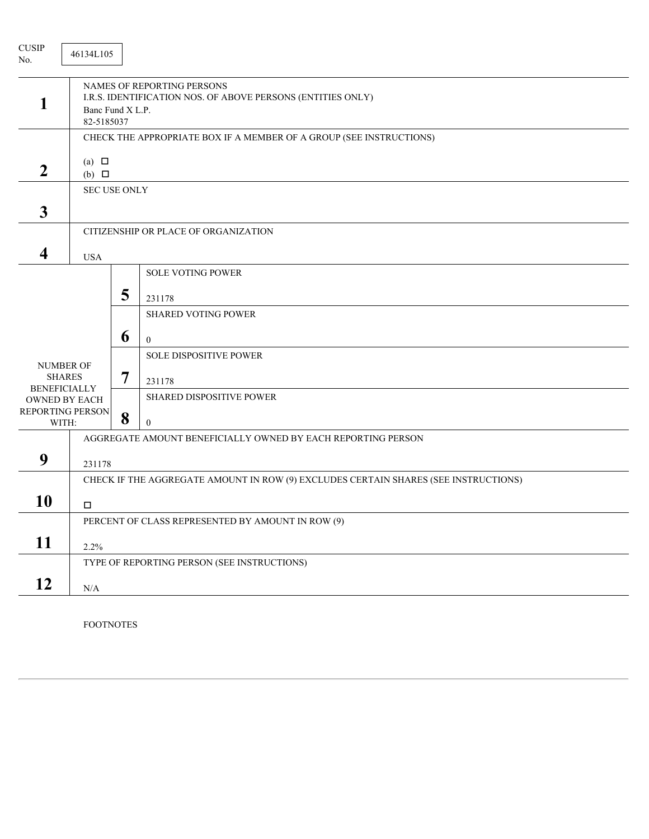| ${\rm CUSIP}$<br>No.                                                                                          | 46134L105                      |                  |                                                                                                                                                                          |
|---------------------------------------------------------------------------------------------------------------|--------------------------------|------------------|--------------------------------------------------------------------------------------------------------------------------------------------------------------------------|
|                                                                                                               | Banc Fund X L.P.<br>82-5185037 |                  | NAMES OF REPORTING PERSONS<br>I.R.S. IDENTIFICATION NOS. OF ABOVE PERSONS (ENTITIES ONLY)                                                                                |
|                                                                                                               |                                |                  | CHECK THE APPROPRIATE BOX IF A MEMBER OF A GROUP (SEE INSTRUCTIONS)                                                                                                      |
| $\boldsymbol{2}$                                                                                              | (a) $\Box$<br>$(b)$ $\square$  |                  |                                                                                                                                                                          |
|                                                                                                               | <b>SEC USE ONLY</b>            |                  |                                                                                                                                                                          |
| $\mathbf{3}$                                                                                                  |                                |                  |                                                                                                                                                                          |
|                                                                                                               |                                |                  | CITIZENSHIP OR PLACE OF ORGANIZATION                                                                                                                                     |
| $\overline{\mathbf{4}}$                                                                                       | <b>USA</b>                     |                  |                                                                                                                                                                          |
| <b>NUMBER OF</b><br><b>SHARES</b><br><b>BENEFICIALLY</b><br><b>OWNED BY EACH</b><br>REPORTING PERSON<br>WITH: |                                | 5<br>6<br>7<br>8 | <b>SOLE VOTING POWER</b><br>231178<br><b>SHARED VOTING POWER</b><br>$\boldsymbol{0}$<br>SOLE DISPOSITIVE POWER<br>231178<br>SHARED DISPOSITIVE POWER<br>$\boldsymbol{0}$ |
|                                                                                                               |                                |                  | AGGREGATE AMOUNT BENEFICIALLY OWNED BY EACH REPORTING PERSON                                                                                                             |
| 9                                                                                                             | 231178                         |                  |                                                                                                                                                                          |
|                                                                                                               |                                |                  | CHECK IF THE AGGREGATE AMOUNT IN ROW (9) EXCLUDES CERTAIN SHARES (SEE INSTRUCTIONS)                                                                                      |
| 10                                                                                                            | □                              |                  |                                                                                                                                                                          |
|                                                                                                               |                                |                  | PERCENT OF CLASS REPRESENTED BY AMOUNT IN ROW (9)                                                                                                                        |
| 11                                                                                                            | 2.2%                           |                  |                                                                                                                                                                          |
|                                                                                                               |                                |                  | TYPE OF REPORTING PERSON (SEE INSTRUCTIONS)                                                                                                                              |
| 12                                                                                                            | N/A                            |                  |                                                                                                                                                                          |
|                                                                                                               |                                |                  |                                                                                                                                                                          |

FOOTNOTES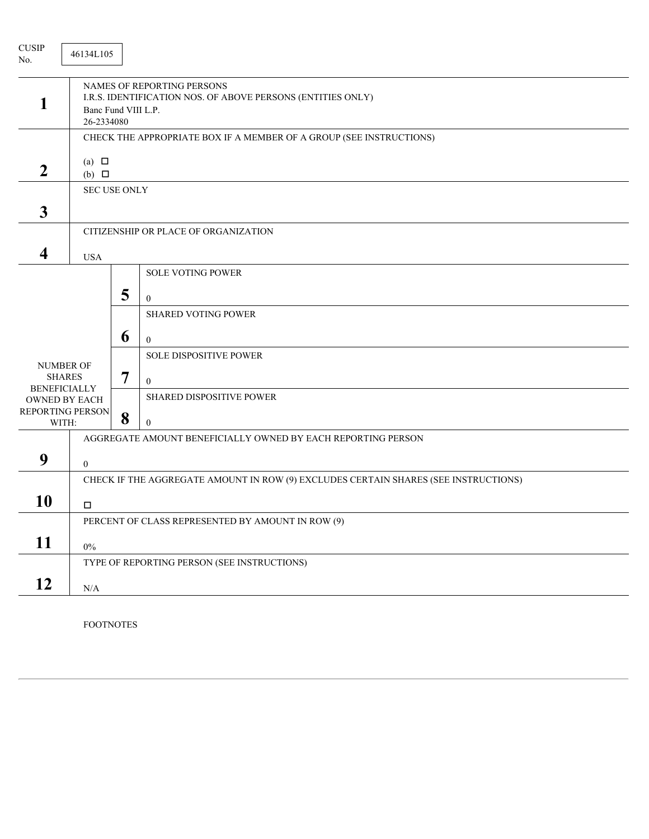| ${\rm CUSIP}$<br>No.                                                                                   | 46134L105                         |                  |                                                                                                                                                                                      |
|--------------------------------------------------------------------------------------------------------|-----------------------------------|------------------|--------------------------------------------------------------------------------------------------------------------------------------------------------------------------------------|
|                                                                                                        | Banc Fund VIII L.P.<br>26-2334080 |                  | NAMES OF REPORTING PERSONS<br>I.R.S. IDENTIFICATION NOS. OF ABOVE PERSONS (ENTITIES ONLY)                                                                                            |
|                                                                                                        |                                   |                  | CHECK THE APPROPRIATE BOX IF A MEMBER OF A GROUP (SEE INSTRUCTIONS)                                                                                                                  |
| $\boldsymbol{2}$                                                                                       | (a) $\Box$<br>$(b)$ $\square$     |                  |                                                                                                                                                                                      |
| $\mathbf{3}$                                                                                           | <b>SEC USE ONLY</b>               |                  |                                                                                                                                                                                      |
|                                                                                                        |                                   |                  | CITIZENSHIP OR PLACE OF ORGANIZATION                                                                                                                                                 |
| $\overline{\mathbf{4}}$                                                                                | <b>USA</b>                        |                  |                                                                                                                                                                                      |
| <b>NUMBER OF</b><br><b>SHARES</b><br><b>BENEFICIALLY</b><br>OWNED BY EACH<br>REPORTING PERSON<br>WITH: |                                   | 5<br>6<br>7<br>8 | <b>SOLE VOTING POWER</b><br>$\mathbf{0}$<br><b>SHARED VOTING POWER</b><br>$\boldsymbol{0}$<br>SOLE DISPOSITIVE POWER<br>$\mathbf{0}$<br>SHARED DISPOSITIVE POWER<br>$\boldsymbol{0}$ |
|                                                                                                        |                                   |                  | AGGREGATE AMOUNT BENEFICIALLY OWNED BY EACH REPORTING PERSON                                                                                                                         |
| 9                                                                                                      | $\mathbf{0}$                      |                  |                                                                                                                                                                                      |
| 10                                                                                                     | □                                 |                  | CHECK IF THE AGGREGATE AMOUNT IN ROW (9) EXCLUDES CERTAIN SHARES (SEE INSTRUCTIONS)                                                                                                  |
| 11                                                                                                     | $0\%$                             |                  | PERCENT OF CLASS REPRESENTED BY AMOUNT IN ROW (9)                                                                                                                                    |
|                                                                                                        |                                   |                  | TYPE OF REPORTING PERSON (SEE INSTRUCTIONS)                                                                                                                                          |
| 12                                                                                                     | N/A                               |                  |                                                                                                                                                                                      |
|                                                                                                        |                                   |                  |                                                                                                                                                                                      |

FOOTNOTES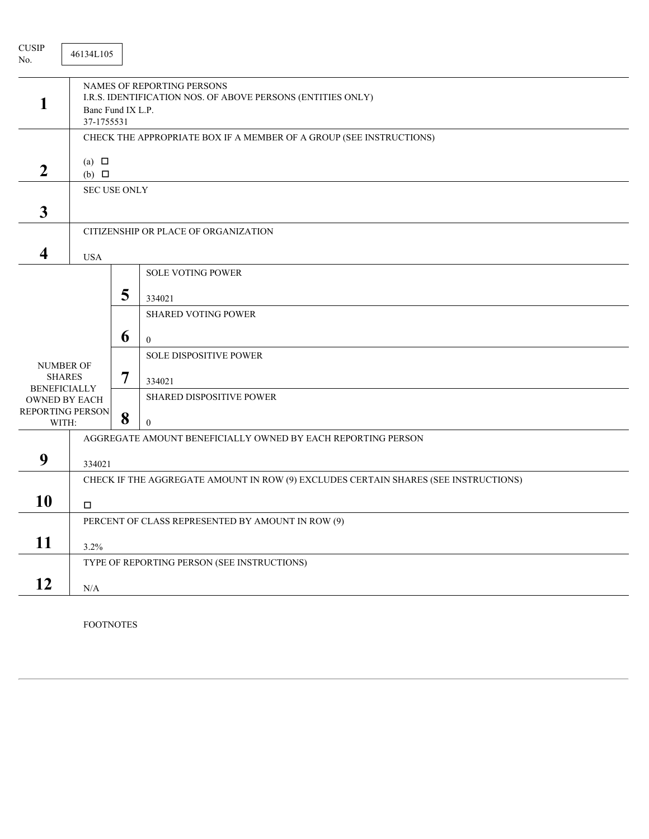| ${\rm CUSIP}$<br>No.                                                                                   | 46134L105                       |                  |                                                                                                                                                                          |
|--------------------------------------------------------------------------------------------------------|---------------------------------|------------------|--------------------------------------------------------------------------------------------------------------------------------------------------------------------------|
|                                                                                                        | Banc Fund IX L.P.<br>37-1755531 |                  | NAMES OF REPORTING PERSONS<br>I.R.S. IDENTIFICATION NOS. OF ABOVE PERSONS (ENTITIES ONLY)                                                                                |
|                                                                                                        |                                 |                  | CHECK THE APPROPRIATE BOX IF A MEMBER OF A GROUP (SEE INSTRUCTIONS)                                                                                                      |
| $\boldsymbol{2}$                                                                                       | (a) $\Box$<br>$(b)$ $\square$   |                  |                                                                                                                                                                          |
|                                                                                                        | <b>SEC USE ONLY</b>             |                  |                                                                                                                                                                          |
| $\mathbf{3}$                                                                                           |                                 |                  |                                                                                                                                                                          |
|                                                                                                        |                                 |                  | CITIZENSHIP OR PLACE OF ORGANIZATION                                                                                                                                     |
| $\overline{\mathbf{4}}$                                                                                | <b>USA</b>                      |                  |                                                                                                                                                                          |
| <b>NUMBER OF</b><br><b>SHARES</b><br><b>BENEFICIALLY</b><br>OWNED BY EACH<br>REPORTING PERSON<br>WITH: |                                 | 5<br>6<br>7<br>8 | <b>SOLE VOTING POWER</b><br>334021<br><b>SHARED VOTING POWER</b><br>$\boldsymbol{0}$<br>SOLE DISPOSITIVE POWER<br>334021<br>SHARED DISPOSITIVE POWER<br>$\boldsymbol{0}$ |
|                                                                                                        |                                 |                  | AGGREGATE AMOUNT BENEFICIALLY OWNED BY EACH REPORTING PERSON                                                                                                             |
| 9                                                                                                      | 334021                          |                  |                                                                                                                                                                          |
| 10                                                                                                     | □                               |                  | CHECK IF THE AGGREGATE AMOUNT IN ROW (9) EXCLUDES CERTAIN SHARES (SEE INSTRUCTIONS)                                                                                      |
|                                                                                                        |                                 |                  | PERCENT OF CLASS REPRESENTED BY AMOUNT IN ROW (9)                                                                                                                        |
| 11                                                                                                     | 3.2%                            |                  |                                                                                                                                                                          |
|                                                                                                        |                                 |                  | TYPE OF REPORTING PERSON (SEE INSTRUCTIONS)                                                                                                                              |
| 12                                                                                                     | N/A                             |                  |                                                                                                                                                                          |
|                                                                                                        |                                 |                  |                                                                                                                                                                          |

FOOTNOTES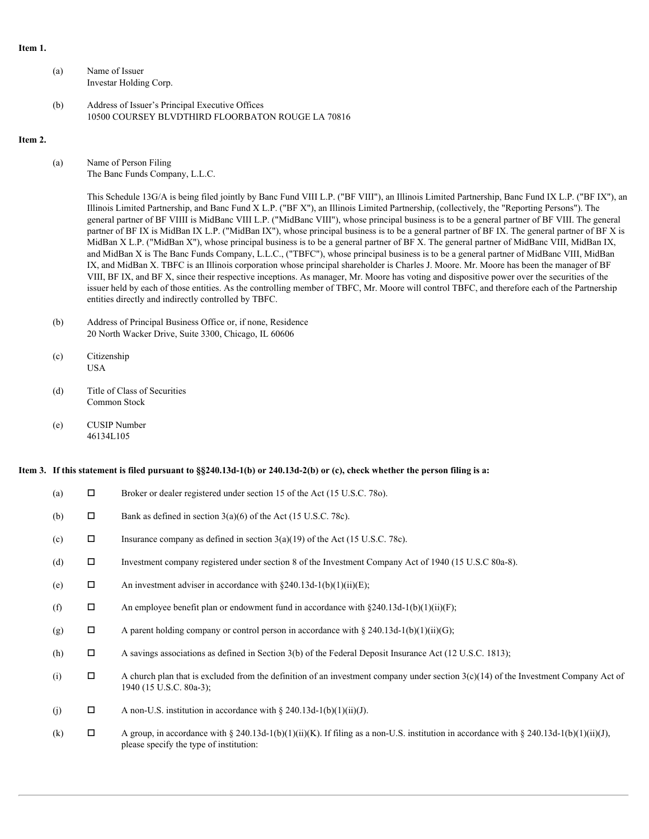#### **Item 1.**

- (a) Name of Issuer Investar Holding Corp.
- (b) Address of Issuer's Principal Executive Offices 10500 COURSEY BLVDTHIRD FLOORBATON ROUGE LA 70816

#### **Item 2.**

(a) Name of Person Filing The Banc Funds Company, L.L.C.

> This Schedule 13G/A is being filed jointly by Banc Fund VIII L.P. ("BF VIII"), an Illinois Limited Partnership, Banc Fund IX L.P. ("BF IX"), an Illinois Limited Partnership, and Banc Fund X L.P. ("BF X"), an Illinois Limited Partnership, (collectively, the "Reporting Persons"). The general partner of BF VIIII is MidBanc VIII L.P. ("MidBanc VIII"), whose principal business is to be a general partner of BF VIII. The general partner of BF IX is MidBan IX L.P. ("MidBan IX"), whose principal business is to be a general partner of BF IX. The general partner of BF X is MidBan X L.P. ("MidBan X"), whose principal business is to be a general partner of BF X. The general partner of MidBanc VIII, MidBan IX, and MidBan X is The Banc Funds Company, L.L.C., ("TBFC"), whose principal business is to be a general partner of MidBanc VIII, MidBan IX, and MidBan X. TBFC is an Illinois corporation whose principal shareholder is Charles J. Moore. Mr. Moore has been the manager of BF VIII, BF IX, and BF X, since their respective inceptions. As manager, Mr. Moore has voting and dispositive power over the securities of the issuer held by each of those entities. As the controlling member of TBFC, Mr. Moore will control TBFC, and therefore each of the Partnership entities directly and indirectly controlled by TBFC.

- (b) Address of Principal Business Office or, if none, Residence 20 North Wacker Drive, Suite 3300, Chicago, IL 60606
- (c) Citizenship USA **USA**
- (d) Title of Class of Securities Common Stock
- (e) CUSIP Number 46134L105

#### **Item 3. If this statement is filed pursuant to §§240.13d-1(b) or 240.13d-2(b) or (c), check whether the person filing is a:**

| (a) | $\Box$ | Broker or dealer registered under section 15 of the Act (15 U.S.C. 780).                                                                                                          |
|-----|--------|-----------------------------------------------------------------------------------------------------------------------------------------------------------------------------------|
| (b) | П      | Bank as defined in section $3(a)(6)$ of the Act (15 U.S.C. 78c).                                                                                                                  |
| (c) | $\Box$ | Insurance company as defined in section $3(a)(19)$ of the Act (15 U.S.C. 78c).                                                                                                    |
| (d) | Д      | Investment company registered under section 8 of the Investment Company Act of 1940 (15 U.S.C 80a-8).                                                                             |
| (e) | □      | An investment adviser in accordance with $\S 240.13d-1(b)(1)(ii)(E)$ ;                                                                                                            |
| (f) | $\Box$ | An employee benefit plan or endowment fund in accordance with $\S 240.13d-1(b)(1)(ii)(F)$ ;                                                                                       |
| (g) | □      | A parent holding company or control person in accordance with § 240.13d-1(b)(1)(ii)(G);                                                                                           |
| (h) | П      | A savings associations as defined in Section 3(b) of the Federal Deposit Insurance Act (12 U.S.C. 1813);                                                                          |
| (i) | $\Box$ | A church plan that is excluded from the definition of an investment company under section $3(c)(14)$ of the Investment Company Act of<br>1940 (15 U.S.C. 80a-3);                  |
| (i) | П      | A non-U.S. institution in accordance with $\S 240.13d-1(b)(1)(ii)(J)$ .                                                                                                           |
| (k) | $\Box$ | A group, in accordance with § 240.13d-1(b)(1)(ii)(K). If filing as a non-U.S. institution in accordance with § 240.13d-1(b)(1)(ii)(J),<br>please specify the type of institution: |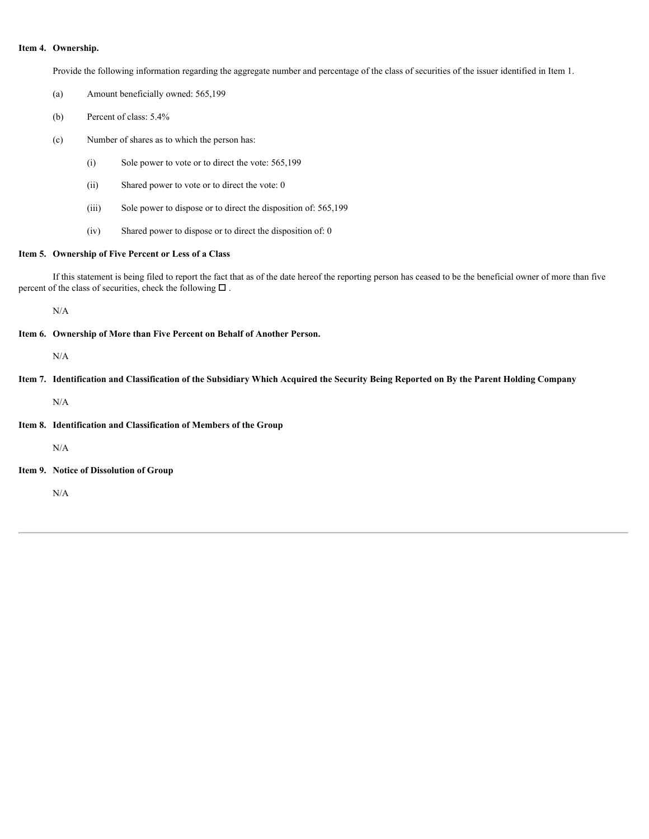#### **Item 4. Ownership.**

Provide the following information regarding the aggregate number and percentage of the class of securities of the issuer identified in Item 1.

- (a) Amount beneficially owned: 565,199
- (b) Percent of class: 5.4%

(c) Number of shares as to which the person has:

- (i) Sole power to vote or to direct the vote: 565,199
- (ii) Shared power to vote or to direct the vote: 0
- (iii) Sole power to dispose or to direct the disposition of: 565,199
- (iv) Shared power to dispose or to direct the disposition of: 0

#### **Item 5. Ownership of Five Percent or Less of a Class**

If this statement is being filed to report the fact that as of the date hereof the reporting person has ceased to be the beneficial owner of more than five percent of the class of securities, check the following  $\Box$ .

N/A

**Item 6. Ownership of More than Five Percent on Behalf of Another Person.**

```
N/A
```
**Item 7. Identification and Classification of the Subsidiary Which Acquired the Security Being Reported on By the Parent Holding Company**

N/A

**Item 8. Identification and Classification of Members of the Group**

N/A

**Item 9. Notice of Dissolution of Group**

N/A